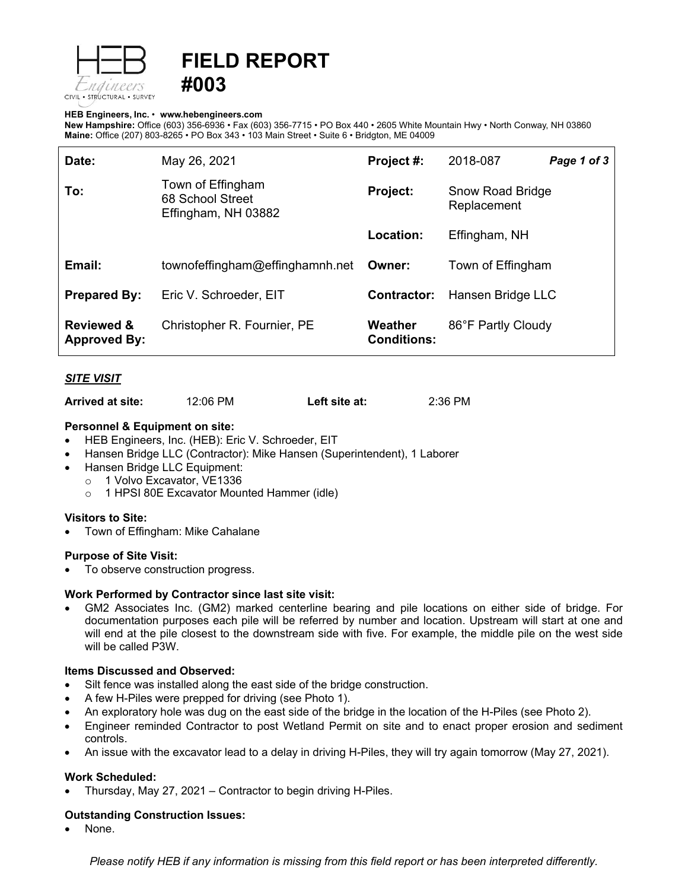

# **FIELD REPORT #003**

#### **HEB Engineers, Inc.** • **[www.hebengineer](http://www.hebengineers.com/)s.com**

**New Hampshire:** Office (603) 356-6936 • Fax (603) 356-7715 • PO Box 440 • 2605 White Mountain Hwy • North Conway, NH 03860 **Maine:** Office (207) 803-8265 • PO Box 343 • 103 Main Street • Suite 6 • Bridgton, ME 04009

| Date:                                        | May 26, 2021                                                 | Project #:                    | 2018-087                        | Page 1 of 3 |
|----------------------------------------------|--------------------------------------------------------------|-------------------------------|---------------------------------|-------------|
| To:                                          | Town of Effingham<br>68 School Street<br>Effingham, NH 03882 | <b>Project:</b>               | Snow Road Bridge<br>Replacement |             |
|                                              |                                                              | Location:                     | Effingham, NH                   |             |
| Email:                                       | townofeffingham@effinghamnh.net                              | Owner:                        | Town of Effingham               |             |
| <b>Prepared By:</b>                          | Eric V. Schroeder, EIT                                       | Contractor:                   | Hansen Bridge LLC               |             |
| <b>Reviewed &amp;</b><br><b>Approved By:</b> | Christopher R. Fournier, PE                                  | Weather<br><b>Conditions:</b> | 86°F Partly Cloudy              |             |

### *SITE VISIT*

**Arrived at site:** 12:06 PM **Left site at:** 2:36 PM

#### **Personnel & Equipment on site:**

- HEB Engineers, Inc. (HEB): Eric V. Schroeder, EIT
- Hansen Bridge LLC (Contractor): Mike Hansen (Superintendent), 1 Laborer
- Hansen Bridge LLC Equipment:
	- o 1 Volvo Excavator, VE1336
		- o 1 HPSI 80E Excavator Mounted Hammer (idle)

### **Visitors to Site:**

• Town of Effingham: Mike Cahalane

### **Purpose of Site Visit:**

To observe construction progress.

### **Work Performed by Contractor since last site visit:**

• GM2 Associates Inc. (GM2) marked centerline bearing and pile locations on either side of bridge. For documentation purposes each pile will be referred by number and location. Upstream will start at one and will end at the pile closest to the downstream side with five. For example, the middle pile on the west side will be called P3W.

#### **Items Discussed and Observed:**

- Silt fence was installed along the east side of the bridge construction.
- A few H-Piles were prepped for driving (see Photo 1).
- An exploratory hole was dug on the east side of the bridge in the location of the H-Piles (see Photo 2).
- Engineer reminded Contractor to post Wetland Permit on site and to enact proper erosion and sediment controls.
- An issue with the excavator lead to a delay in driving H-Piles, they will try again tomorrow (May 27, 2021).

### **Work Scheduled:**

• Thursday, May 27, 2021 – Contractor to begin driving H-Piles.

### **Outstanding Construction Issues:**

• None.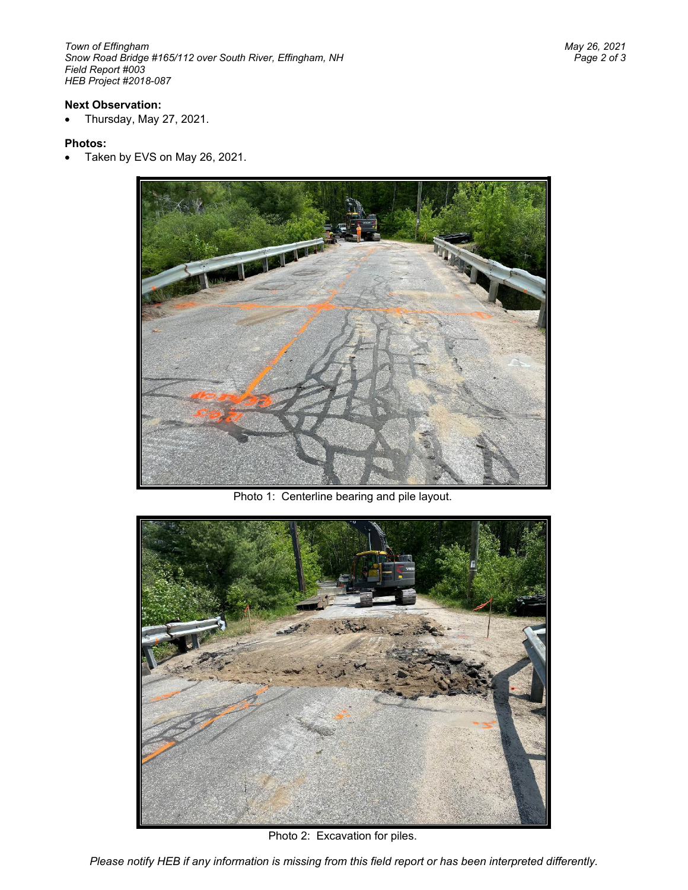*Town of Effingham May 26, 2021 Snow Road Bridge #165/112 over South River, Effingham, NH Field Report #003 HEB Project #2018-087*

## **Next Observation:**

• Thursday, May 27, 2021.

### **Photos:**

• Taken by EVS on May 26, 2021.



Photo 1: Centerline bearing and pile layout.



Photo 2: Excavation for piles.

*Please notify HEB if any information is missing from this field report or has been interpreted differently.*